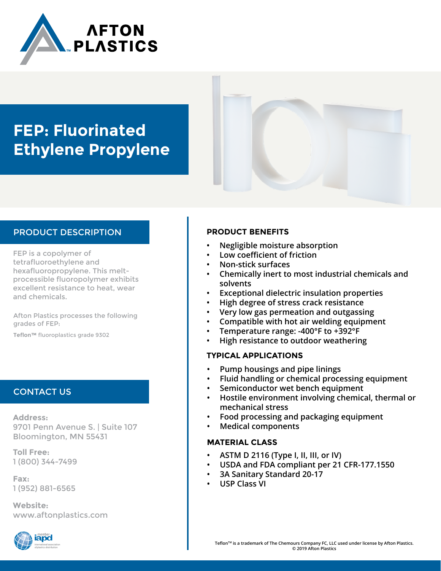

## **FEP: Fluorinated Ethylene Propylene**

#### PRODUCT DESCRIPTION

FEP is a copolymer of tetrafluoroethylene and hexafluoropropylene. This meltprocessible fluoropolymer exhibits excellent resistance to heat, wear and chemicals.

Afton Plastics processes the following grades of FEP:

**Teflon™** fluoroplastics grade 9302

#### CONTACT US

**Address:** 9701 Penn Avenue S. | Suite 107 Bloomington, MN 55431

**Toll Free:** 1 (800) 344-7499

**Fax:** 1 (952) 881-6565

**Website:** www.aftonplastics.com



#### **PRODUCT BENEFITS**

- **• Negligible moisture absorption**
- **• Low coefficient of friction**
- **• Non-stick surfaces**
- **• Chemically inert to most industrial chemicals and solvents**
- **• Exceptional dielectric insulation properties**
- **• High degree of stress crack resistance**
- **• Very low gas permeation and outgassing**
- **• Compatible with hot air welding equipment**
- **• Temperature range: -400°F to +392°F**
- **• High resistance to outdoor weathering**

#### **TYPICAL APPLICATIONS**

- **• Pump housings and pipe linings**
- **• Fluid handling or chemical processing equipment**
- **• Semiconductor wet bench equipment**
- **• Hostile environment involving chemical, thermal or mechanical stress**
- **• Food processing and packaging equipment**
- **• Medical components**

#### **MATERIAL CLASS**

- **• ASTM D 2116 (Type I, II, III, or IV)**
- **• USDA and FDA compliant per 21 CFR-177.1550**
- **• 3A Sanitary Standard 20-17**
- **• USP Class VI**